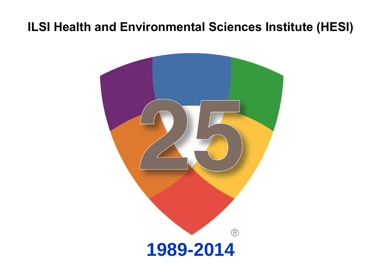### **ILSI Health and Environmental Sciences Institute (HESI)**

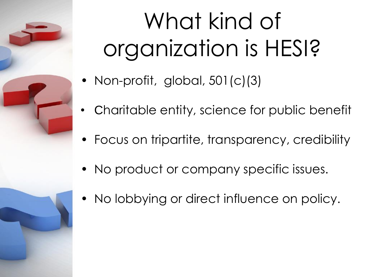# What kind of organization is HESI?

- Non-profit, global, 501(c)(3)
- Charitable entity, science for public benefit
- Focus on tripartite, transparency, credibility
- No product or company specific issues.
- No lobbying or direct influence on policy.

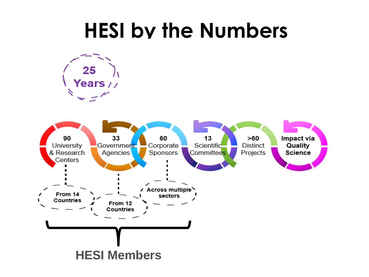## **HESI by the Numbers**

25 Years //

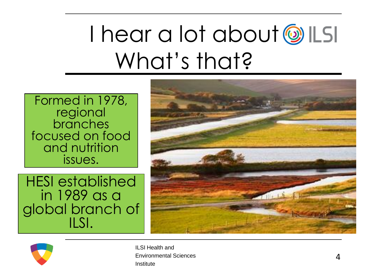## I hear a lot about all LSI What's that?

Formed in 1978, regional branches focused on food and nutrition issues.

HESI established in 1989 as a global branch of ILSI.





ILSI Health and Environmental Sciences Institute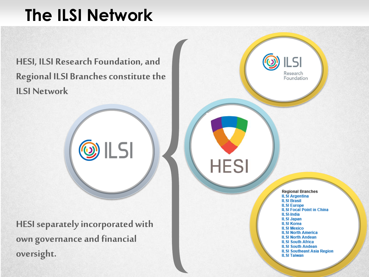## **The ILSI Network**

**HESI, ILSI Research Foundation, and Regional ILSI Branches constitute the ILSI Network** 

 $\circledcirc$  ILSI

**HESI separately incorporated with own governance and financial oversight.**

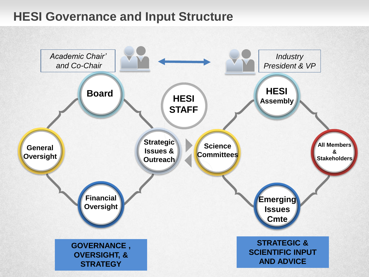### **HESI Governance and Input Structure**

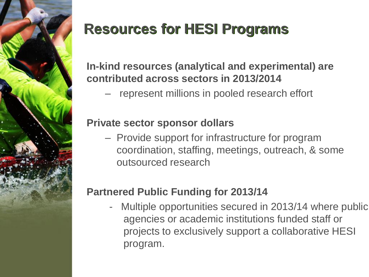

## **Resources for HESI Programs**

#### **In-kind resources (analytical and experimental) are contributed across sectors in 2013/2014**

represent millions in pooled research effort

#### **Private sector sponsor dollars**

– Provide support for infrastructure for program coordination, staffing, meetings, outreach, & some outsourced research

#### **Partnered Public Funding for 2013/14**

- Multiple opportunities secured in 2013/14 where public agencies or academic institutions funded staff or projects to exclusively support a collaborative HESI program.